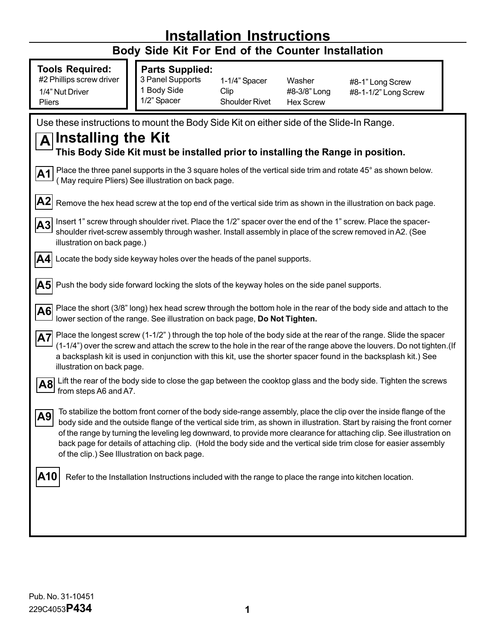## **Installation Instructions Body Side Kit For End of the Counter Installation Tools Required:** #2 Phillips screw driver **Installing the Kit This Body Side Kit must be installed prior to installing the Range in position.** Locate the body side keyway holes over the heads of the panel supports. **A A1** Place the three panel supports in the 3 square holes of the vertical side trim and rotate 45° as shown below. ( May require Pliers) See illustration on back page. **A3** Insert 1" screw through shoulder rivet. Place the 1/2" spacer over the end of the 1" screw. Place the spacershoulder rivet-screw assembly through washer. Install assembly in place of the screw removed in A2. (See illustration on back page.) **A4 A5** Push the body side forward locking the slots of the keyway holes on the side panel supports. Place the longest screw (1-1/2") through the top hole of the body side at the rear of the range. Slide the spacer (1-1/4î) over the screw and attach the screw to the hole in the rear of the range above the louvers. Do not tighten.(If a backsplash kit is used in conjunction with this kit, use the shorter spacer found in the backsplash kit.) See illustration on back page. **A6** Lift the rear of the body side to close the gap between the cooktop glass and the body side. Tighten the screws from steps A6 and A7. **A7** Place the short (3/8" long) hex head screw through the bottom hole in the rear of the body side and attach to the lower section of the range. See illustration on back page, **Do Not Tighten. A8** To stabilize the bottom front corner of the body side-range assembly, place the clip over the inside flange of the body side and the outside flange of the vertical side trim, as shown in illustration. Start by raising the front corner of the range by turning the leveling leg downward, to provide more clearance for attaching clip. See illustration on back page for details of attaching clip. (Hold the body side and the vertical side trim close for easier assembly of the clip.) See Illustration on back page. **A9 A10** Refer to the Installation Instructions included with the range to place the range into kitchen location. 1/4" Nut Driver Pliers **Parts Supplied:** 3 Panel Supports 1 Body Side 1/2î Spacer 1-1/4" Spacer Clip Shoulder Rivet Washer #8-3/8" Long Hex Screw #8-1" Long Screw #8-1-1/2" Long Screw Use these instructions to mount the Body Side Kit on either side of the Slide-In Range. **A2** Remove the hex head screw at the top end of the vertical side trim as shown in the illustration on back page.